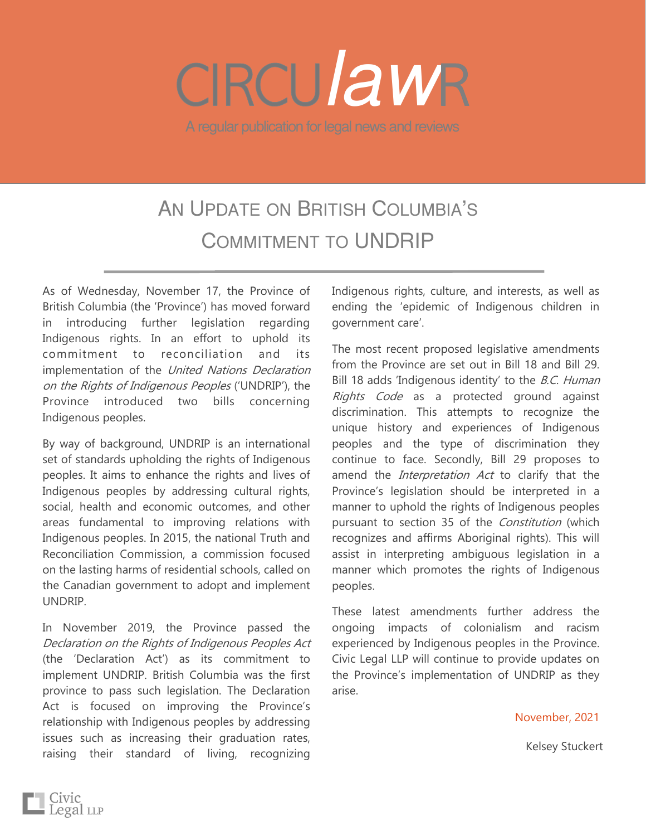## A regular publication for legal news and reviews *law*

## AN UPDATE ON BRITISH COLUMBIA'S COMMITMENT TO UNDRIP

As of Wednesday, November 17, the Province of British Columbia (the 'Province') has moved forward in introducing further legislation regarding Indigenous rights. In an effort to uphold its commitment to reconciliation and its implementation of the *United Nations Declaration* on the Rights of Indigenous Peoples ('UNDRIP'), the Province introduced two bills concerning Indigenous peoples.

By way of background, UNDRIP is an international set of standards upholding the rights of Indigenous peoples. It aims to enhance the rights and lives of Indigenous peoples by addressing cultural rights, social, health and economic outcomes, and other areas fundamental to improving relations with Indigenous peoples. In 2015, the national Truth and Reconciliation Commission, a commission focused on the lasting harms of residential schools, called on the Canadian government to adopt and implement UNDRIP.

In November 2019, the Province passed the Declaration on the Rights of Indigenous Peoples Act (the 'Declaration Act') as its commitment to implement UNDRIP. British Columbia was the first province to pass such legislation. The Declaration Act is focused on improving the Province's relationship with Indigenous peoples by addressing issues such as increasing their graduation rates, raising their standard of living, recognizing

Indigenous rights, culture, and interests, as well as ending the 'epidemic of Indigenous children in government care'.

The most recent proposed legislative amendments from the Province are set out in Bill 18 and Bill 29. Bill 18 adds 'Indigenous identity' to the B.C. Human Rights Code as a protected ground against discrimination. This attempts to recognize the unique history and experiences of Indigenous peoples and the type of discrimination they continue to face. Secondly, Bill 29 proposes to amend the *Interpretation Act* to clarify that the Province's legislation should be interpreted in a manner to uphold the rights of Indigenous peoples pursuant to section 35 of the Constitution (which recognizes and affirms Aboriginal rights). This will assist in interpreting ambiguous legislation in a manner which promotes the rights of Indigenous peoples.

These latest amendments further address the ongoing impacts of colonialism and racism experienced by Indigenous peoples in the Province. Civic Legal LLP will continue to provide updates on the Province's implementation of UNDRIP as they arise.

November, 2021

Kelsey Stuckert